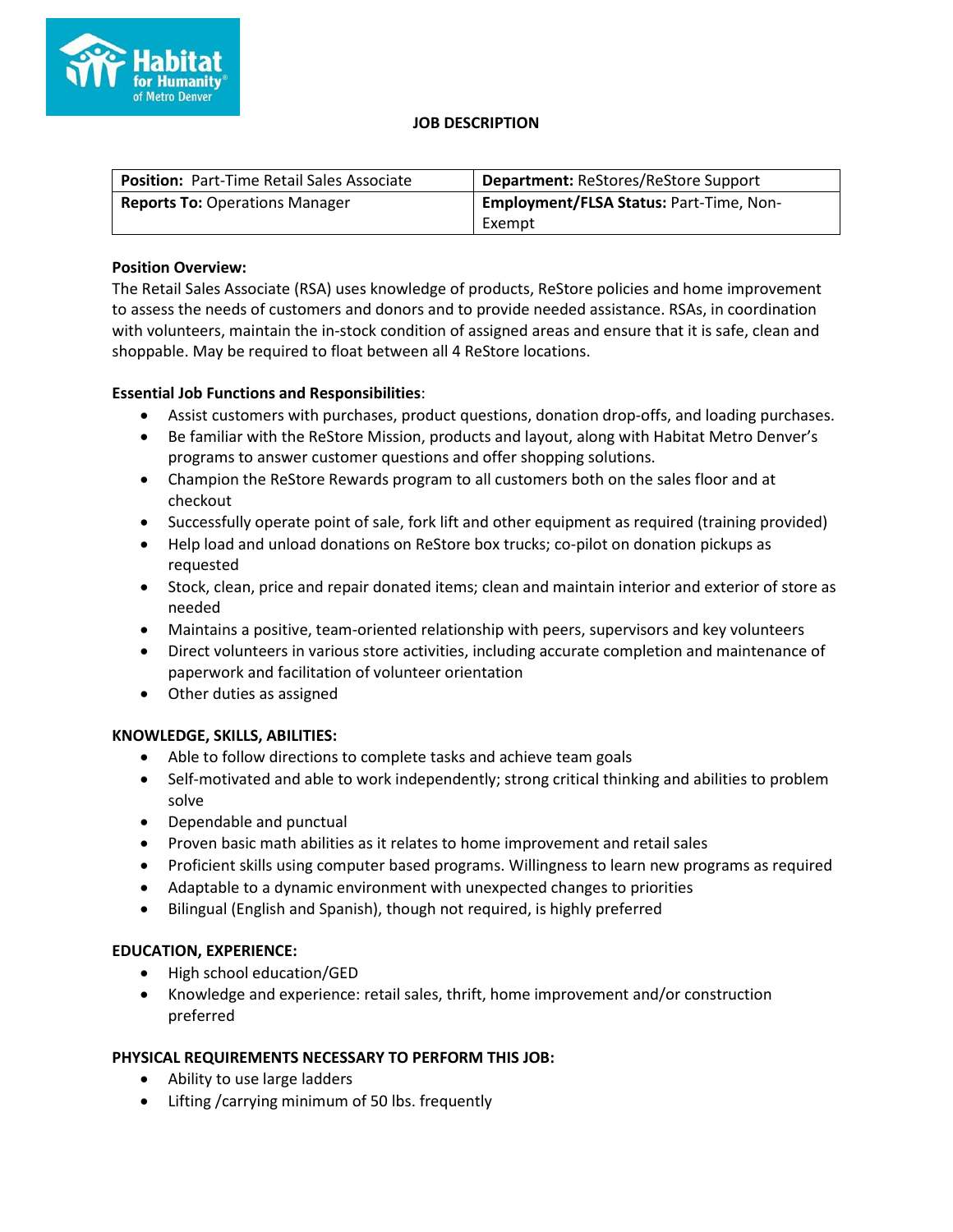

#### **JOB DESCRIPTION**

| Position: Part-Time Retail Sales Associate | <b>Department: ReStores/ReStore Support</b>    |
|--------------------------------------------|------------------------------------------------|
| <b>Reports To: Operations Manager</b>      | <b>Employment/FLSA Status: Part-Time, Non-</b> |
|                                            | Exempt                                         |

## **Position Overview:**

The Retail Sales Associate (RSA) uses knowledge of products, ReStore policies and home improvement to assess the needs of customers and donors and to provide needed assistance. RSAs, in coordination with volunteers, maintain the in-stock condition of assigned areas and ensure that it is safe, clean and shoppable. May be required to float between all 4 ReStore locations.

# **Essential Job Functions and Responsibilities**:

- Assist customers with purchases, product questions, donation drop-offs, and loading purchases.
- Be familiar with the ReStore Mission, products and layout, along with Habitat Metro Denver's programs to answer customer questions and offer shopping solutions.
- Champion the ReStore Rewards program to all customers both on the sales floor and at checkout
- Successfully operate point of sale, fork lift and other equipment as required (training provided)
- Help load and unload donations on ReStore box trucks; co-pilot on donation pickups as requested
- Stock, clean, price and repair donated items; clean and maintain interior and exterior of store as needed
- Maintains a positive, team-oriented relationship with peers, supervisors and key volunteers
- Direct volunteers in various store activities, including accurate completion and maintenance of paperwork and facilitation of volunteer orientation
- Other duties as assigned

# **KNOWLEDGE, SKILLS, ABILITIES:**

- Able to follow directions to complete tasks and achieve team goals
- Self-motivated and able to work independently; strong critical thinking and abilities to problem solve
- Dependable and punctual
- Proven basic math abilities as it relates to home improvement and retail sales
- Proficient skills using computer based programs. Willingness to learn new programs as required
- Adaptable to a dynamic environment with unexpected changes to priorities
- Bilingual (English and Spanish), though not required, is highly preferred

### **EDUCATION, EXPERIENCE:**

- High school education/GED
- Knowledge and experience: retail sales, thrift, home improvement and/or construction preferred

### **PHYSICAL REQUIREMENTS NECESSARY TO PERFORM THIS JOB:**

- Ability to use large ladders
- Lifting /carrying minimum of 50 lbs. frequently